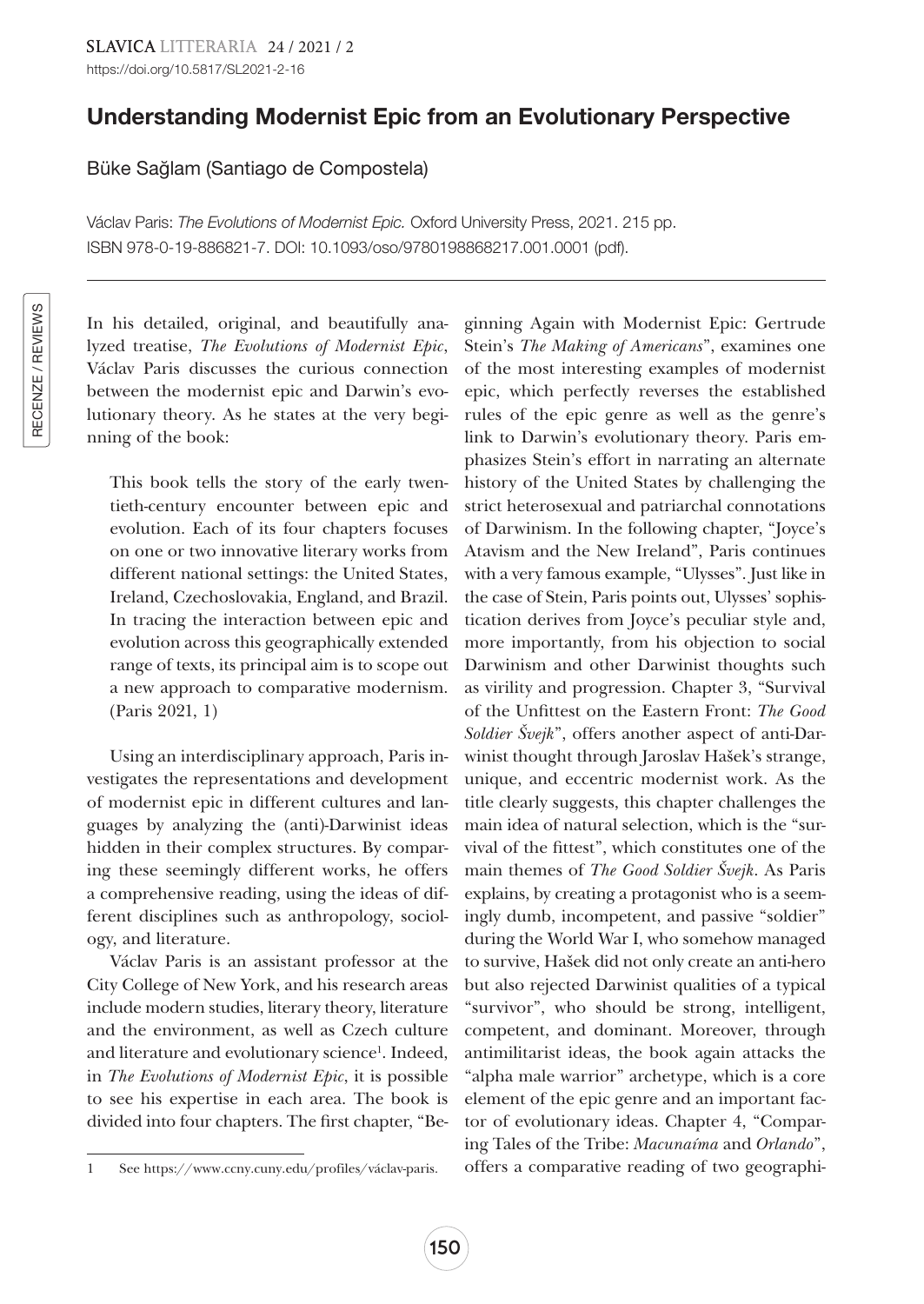## Understanding Modernist Epic from an Evolutionary Perspective

Büke Sağlam (Santiago de Compostela)

Václav Paris: *The Evolutions of Modernist Epic.* Oxford University Press, 2021. 215 pp. ISBN 978-0-19-886821-7. DOI: 10.1093/oso/9780198868217.001.0001 (pdf).

In his detailed, original, and beautifully analyzed treatise, *The Evolutions of Modernist Epic*, Václav Paris discusses the curious connection between the modernist epic and Darwin's evolutionary theory. As he states at the very beginning of the book:

This book tells the story of the early twentieth-century encounter between epic and evolution. Each of its four chapters focuses on one or two innovative literary works from different national settings: the United States, Ireland, Czechoslovakia, England, and Brazil. In tracing the interaction between epic and evolution across this geographically extended range of texts, its principal aim is to scope out a new approach to comparative modernism. (Paris 2021, 1)

Using an interdisciplinary approach, Paris investigates the representations and development of modernist epic in different cultures and languages by analyzing the (anti)-Darwinist ideas hidden in their complex structures. By comparing these seemingly different works, he offers a comprehensive reading, using the ideas of different disciplines such as anthropology, sociology, and literature.

Václav Paris is an assistant professor at the City College of New York, and his research areas include modern studies, literary theory, literature and the environment, as well as Czech culture and literature and evolutionary science<sup>1</sup>. Indeed, in *The Evolutions of Modernist Epic*, it is possible to see his expertise in each area. The book is divided into four chapters. The first chapter, "Be-

ginning Again with Modernist Epic: Gertrude Stein's *The Making of Americans*", examines one of the most interesting examples of modernist epic, which perfectly reverses the established rules of the epic genre as well as the genre's link to Darwin's evolutionary theory. Paris emphasizes Stein's effort in narrating an alternate history of the United States by challenging the strict heterosexual and patriarchal connotations of Darwinism. In the following chapter, "Joyce's Atavism and the New Ireland", Paris continues with a very famous example, "Ulysses". Just like in the case of Stein, Paris points out, Ulysses' sophistication derives from Joyce's peculiar style and, more importantly, from his objection to social Darwinism and other Darwinist thoughts such as virility and progression. Chapter 3, "Survival of the Unfittest on the Eastern Front: *The Good Soldier Švejk*", offers another aspect of anti-Darwinist thought through Jaroslav Hašek's strange, unique, and eccentric modernist work. As the title clearly suggests, this chapter challenges the main idea of natural selection, which is the "survival of the fittest", which constitutes one of the main themes of *The Good Soldier Švejk*. As Paris explains, by creating a protagonist who is a seemingly dumb, incompetent, and passive "soldier" during the World War I, who somehow managed to survive, Hašek did not only create an anti-hero but also rejected Darwinist qualities of a typical "survivor", who should be strong, intelligent, competent, and dominant. Moreover, through antimilitarist ideas, the book again attacks the "alpha male warrior" archetype, which is a core element of the epic genre and an important factor of evolutionary ideas. Chapter 4, "Comparing Tales of the Tribe: *Macunaíma* and *Orlando*", offers a comparative reading of two geographi-

<sup>1</sup> See [https://www.ccny.cuny.edu/profiles/](https://www.ccny.cuny.edu/profiles)václav-paris.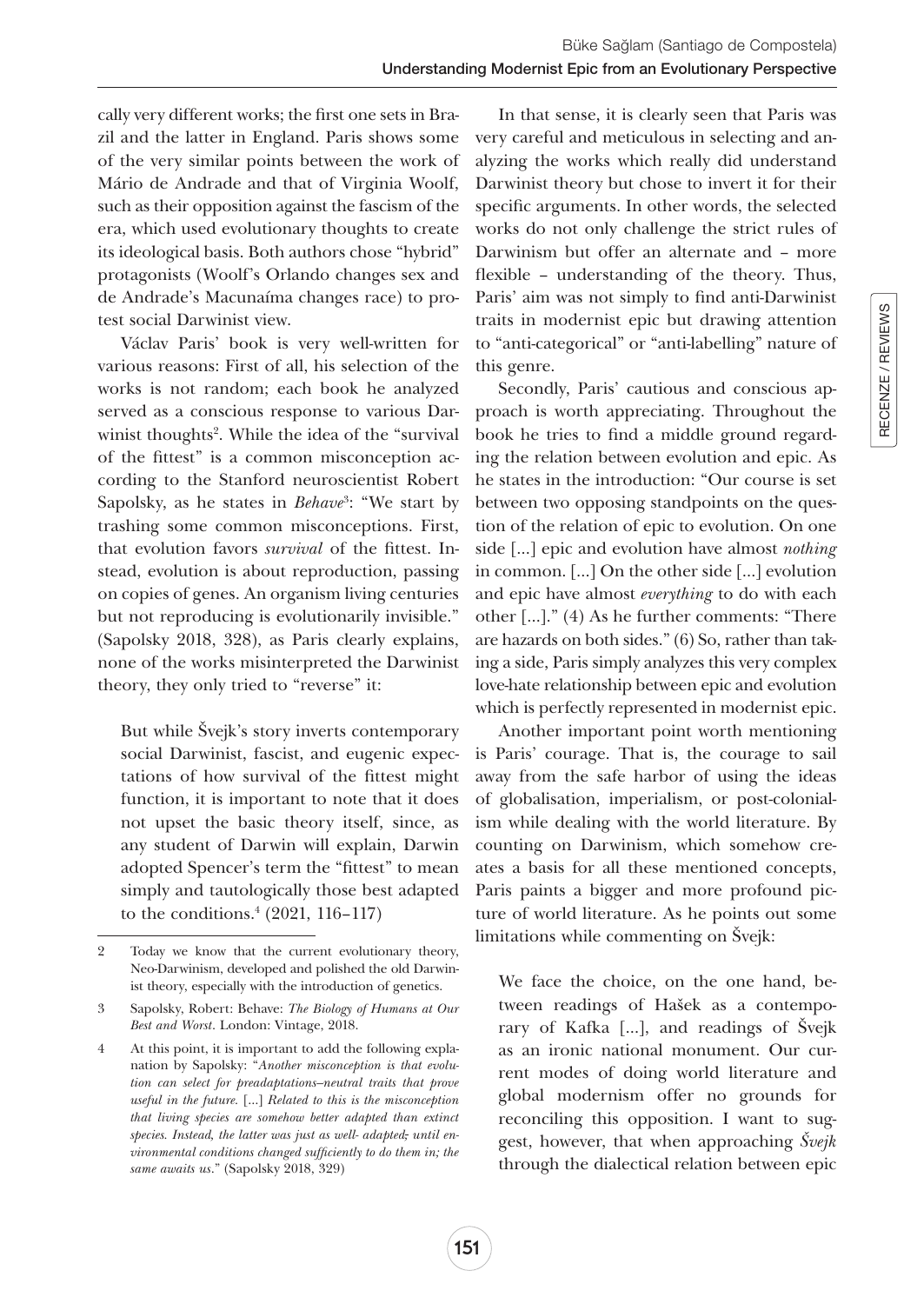cally very different works; the first one sets in Brazil and the latter in England. Paris shows some of the very similar points between the work of Mário de Andrade and that of Virginia Woolf, such as their opposition against the fascism of the era, which used evolutionary thoughts to create its ideological basis. Both authors chose "hybrid" protagonists (Woolf's Orlando changes sex and de Andrade's Macunaíma changes race) to protest social Darwinist view.

Václav Paris' book is very well-written for various reasons: First of all, his selection of the works is not random; each book he analyzed served as a conscious response to various Darwinist thoughts<sup>2</sup>. While the idea of the "survival of the fittest" is a common misconception according to the Stanford neuroscientist Robert Sapolsky, as he states in *Behave*<sup>3</sup> : "We start by trashing some common misconceptions. First, that evolution favors *survival* of the fittest. Instead, evolution is about reproduction, passing on copies of genes. An organism living centuries but not reproducing is evolutionarily invisible." (Sapolsky 2018, 328), as Paris clearly explains, none of the works misinterpreted the Darwinist theory, they only tried to "reverse" it:

But while Švejk's story inverts contemporary social Darwinist, fascist, and eugenic expectations of how survival of the fittest might function, it is important to note that it does not upset the basic theory itself, since, as any student of Darwin will explain, Darwin adopted Spencer's term the "fittest" to mean simply and tautologically those best adapted to the conditions.4 (2021, 116–117)

In that sense, it is clearly seen that Paris was very careful and meticulous in selecting and analyzing the works which really did understand Darwinist theory but chose to invert it for their specific arguments. In other words, the selected works do not only challenge the strict rules of Darwinism but offer an alternate and – more flexible – understanding of the theory. Thus, Paris' aim was not simply to find anti-Darwinist traits in modernist epic but drawing attention to "anti-categorical" or "anti-labelling" nature of this genre.

Secondly, Paris' cautious and conscious approach is worth appreciating. Throughout the book he tries to find a middle ground regarding the relation between evolution and epic. As he states in the introduction: "Our course is set between two opposing standpoints on the question of the relation of epic to evolution. On one side […] epic and evolution have almost *nothing* in common. […] On the other side […] evolution and epic have almost *everything* to do with each other […]." (4) As he further comments: "There are hazards on both sides." (6) So, rather than taking a side, Paris simply analyzes this very complex love-hate relationship between epic and evolution which is perfectly represented in modernist epic.

Another important point worth mentioning is Paris' courage. That is, the courage to sail away from the safe harbor of using the ideas of globalisation, imperialism, or post-colonialism while dealing with the world literature. By counting on Darwinism, which somehow creates a basis for all these mentioned concepts, Paris paints a bigger and more profound picture of world literature. As he points out some limitations while commenting on Švejk:

We face the choice, on the one hand, between readings of Hašek as a contemporary of Kafka […], and readings of Švejk as an ironic national monument. Our current modes of doing world literature and global modernism offer no grounds for reconciling this opposition. I want to suggest, however, that when approaching *Švejk*  through the dialectical relation between epic

<sup>2</sup> Today we know that the current evolutionary theory, Neo-Darwinism, developed and polished the old Darwinist theory, especially with the introduction of genetics.

<sup>3</sup> Sapolsky, Robert: Behave: *The Biology of Humans at Our Best and Worst*. London: Vintage, 2018.

<sup>4</sup> At this point, it is important to add the following explanation by Sapolsky: "*Another misconception is that evolution can select for preadaptations—neutral traits that prove useful in the future.* […] *Related to this is the misconception that living species are somehow better adapted than extinct species. Instead, the latter was just as well- adapted, until environmental conditions changed sufficiently to do them in; the same awaits us*." (Sapolsky 2018, 329)